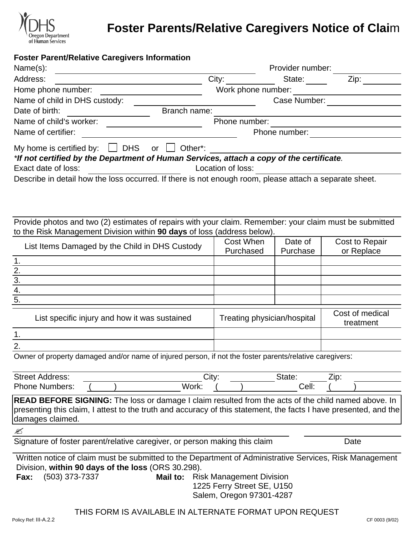

# **Foster Parents/Relative Caregivers Notice of Clai**m

#### **Foster Parent/Relative Caregivers Information**

| Name(s):                                                                                                         | Provider number:                |          |                              |
|------------------------------------------------------------------------------------------------------------------|---------------------------------|----------|------------------------------|
| Address:                                                                                                         | City:                           | State:   | Zip:                         |
| Home phone number:                                                                                               | Work phone number:              |          |                              |
| Name of child in DHS custody:                                                                                    | Case Number:                    |          |                              |
| Branch name:<br>Date of birth:                                                                                   |                                 |          |                              |
| Name of child's worker:                                                                                          | Phone number:                   |          |                              |
| Name of certifier:                                                                                               | Phone number:                   |          |                              |
| My home is certified by: $\Box$ DHS or $\Box$ Other*:                                                            |                                 |          |                              |
| *If not certified by the Department of Human Services, attach a copy of the certificate.                         |                                 |          |                              |
| Exact date of loss:                                                                                              | Location of loss:               |          |                              |
| Describe in detail how the loss occurred. If there is not enough room, please attach a separate sheet.           |                                 |          |                              |
|                                                                                                                  |                                 |          |                              |
|                                                                                                                  |                                 |          |                              |
|                                                                                                                  |                                 |          |                              |
| Provide photos and two (2) estimates of repairs with your claim. Remember: your claim must be submitted          |                                 |          |                              |
| to the Risk Management Division within 90 days of loss (address below).                                          |                                 |          |                              |
| List Items Damaged by the Child in DHS Custody                                                                   | Cost When                       | Date of  | Cost to Repair               |
|                                                                                                                  | Purchased                       | Purchase | or Replace                   |
| $\mathbf 1$ .                                                                                                    |                                 |          |                              |
|                                                                                                                  |                                 |          |                              |
| $\frac{2.}{3.}$<br>$\frac{4.}{5.}$                                                                               |                                 |          |                              |
|                                                                                                                  |                                 |          |                              |
|                                                                                                                  |                                 |          |                              |
| List specific injury and how it was sustained                                                                    | Treating physician/hospital     |          | Cost of medical<br>treatment |
| 1.                                                                                                               |                                 |          |                              |
| 2.                                                                                                               |                                 |          |                              |
| Owner of property damaged and/or name of injured person, if not the foster parents/relative caregivers:          |                                 |          |                              |
|                                                                                                                  |                                 |          |                              |
| <b>Street Address:</b>                                                                                           | City:                           | State:   | Zip:                         |
| Work:<br><b>Phone Numbers:</b>                                                                                   |                                 | Cell:    |                              |
| <b>READ BEFORE SIGNING:</b> The loss or damage I claim resulted from the acts of the child named above. In       |                                 |          |                              |
| presenting this claim, I attest to the truth and accuracy of this statement, the facts I have presented, and the |                                 |          |                              |
| damages claimed.                                                                                                 |                                 |          |                              |
| ≤                                                                                                                |                                 |          |                              |
| Signature of foster parent/relative caregiver, or person making this claim                                       |                                 |          | Date                         |
| Written notice of claim must be submitted to the Department of Administrative Services, Risk Management          |                                 |          |                              |
| Division, within 90 days of the loss (ORS 30.298).                                                               |                                 |          |                              |
| (503) 373-7337<br>Mail to:<br>Fax:                                                                               | <b>Risk Management Division</b> |          |                              |
| 1225 Ferry Street SE, U150                                                                                       |                                 |          |                              |
| Salem, Oregon 97301-4287                                                                                         |                                 |          |                              |